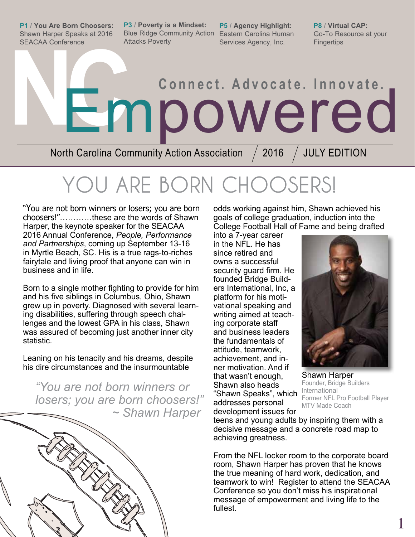**P1 / You Are Born Choosers:**  Shawn Harper Speaks at 2016 SEACAA Conference

**P3 / Poverty is a Mindset: P5 / Agency Highlight:**  Blue Ridge Community Action Eastern Carolina Human Attacks Poverty

Services Agency, Inc.

**P8 / Virtual CAP:** Go-To Resource at your **Fingertips** 

# **NE mpowered**

North Carolina Community Action Association  $\neq$  2016  $\neq$  JULY EDITION

# **YOU ARE BORN CHOOSERS!**

"You are not born winners or losers; you are born choosers!"…………these are the words of Shawn Harper, the keynote speaker for the SEACAA 2016 Annual Conference, *People, Performance and Partnerships*, coming up September 13-16 in Myrtle Beach, SC. His is a true rags-to-riches fairytale and living proof that anyone can win in business and in life.

Born to a single mother fighting to provide for him and his five siblings in Columbus, Ohio, Shawn grew up in poverty. Diagnosed with several learning disabilities, suffering through speech challenges and the lowest GPA in his class, Shawn was assured of becoming just another inner city statistic.

Leaning on his tenacity and his dreams, despite his dire circumstances and the insurmountable

*"You are not born winners or losers; you are born choosers!" ~ Shawn Harper*



odds working against him, Shawn achieved his goals of college graduation, induction into the College Football Hall of Fame and being drafted

into a 7-year career in the NFL. He has since retired and owns a successful security guard firm. He founded Bridge Builders International, Inc, a platform for his motivational speaking and writing aimed at teaching corporate staff and business leaders the fundamentals of attitude, teamwork, achievement, and inner motivation. And if that wasn't enough, Shawn also heads "Shawn Speaks", which addresses personal development issues for



Shawn Harper Founder, Bridge Builders International Former NFL Pro Football Player MTV Made Coach

1

teens and young adults by inspiring them with a decisive message and a concrete road map to achieving greatness.

From the NFL locker room to the corporate board room, Shawn Harper has proven that he knows the true meaning of hard work, dedication, and teamwork to win! Register to attend the SEACAA Conference so you don't miss his inspirational message of empowerment and living life to the fullest.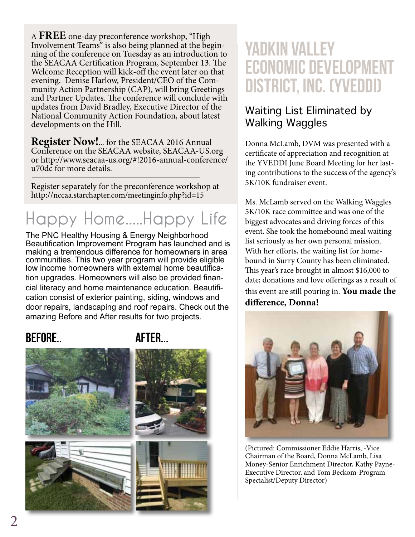A **FREE** one-day preconference workshop, "High Involvement Teams" is also being planned at the begin- ning of the conference on Tuesday as an introduction to the SEACAA Certification Program, September 13. The Welcome Reception will kick-off the event later on that evening. Denise Harlow, President/CEO of the Community Action Partnership (CAP), will bring Greetings and Partner Updates. The conference will conclude with updates from David Bradley, Executive Director of the National Community Action Foundation, about latest developments on the Hill.

**Register Now!**... for the SEACAA 2016 Annual Conference on the SEACAA website, SEACAA-US.org or http://www.seacaa-us.org/#!2016-annual-conference/ u70dc for more details.

Register separately for the preconference workshop at http://nccaa.starchapter.com/meetinginfo.php?id=15

## **Happy Home.....Happy Life**

The PNC Healthy Housing & Energy Neighborhood Beautification Improvement Program has launched and is making a tremendous difference for homeowners in area communities. This two year program will provide eligible low income homeowners with external home beautification upgrades. Homeowners will also be provided financial literacy and home maintenance education. Beautification consist of exterior painting, siding, windows and door repairs, landscaping and roof repairs. Check out the amazing Before and After results for two projects.

### BEFORE.. AFTER...



## Yadkin Valley Economic Development District, Inc. (YVEDDI)

#### Waiting List Eliminated by Walking Waggles

Donna McLamb, DVM was presented with a certificate of appreciation and recognition at the YVEDDI June Board Meeting for her lasting contributions to the success of the agency's 5K/10K fundraiser event.

Ms. McLamb served on the Walking Waggles 5K/10K race committee and was one of the biggest advocates and driving forces of this event. She took the homebound meal waiting list seriously as her own personal mission. With her efforts, the waiting list for homebound in Surry County has been eliminated. This year's race brought in almost \$16,000 to date; donations and love offerings as a result of this event are still pouring in. **You made the difference, Donna!**



(Pictured: Commissioner Eddie Harris, -Vice Chairman of the Board, Donna McLamb, Lisa Money-Senior Enrichment Director, Kathy Payne-Executive Director, and Tom Beckom-Program Specialist/Deputy Director)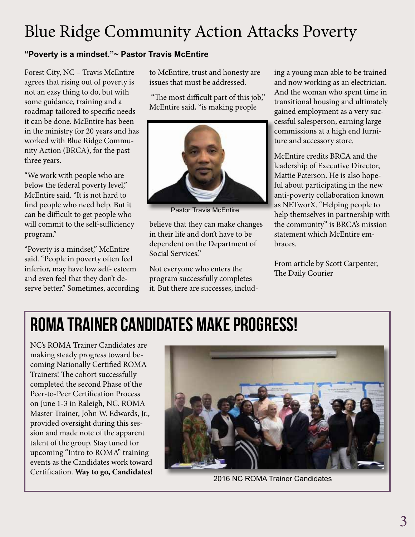## Blue Ridge Community Action Attacks Poverty

#### **"Poverty is a mindset."~ Pastor Travis McEntire**

Forest City, NC – Travis McEntire agrees that rising out of poverty is not an easy thing to do, but with some guidance, training and a roadmap tailored to specific needs it can be done. McEntire has been in the ministry for 20 years and has worked with Blue Ridge Community Action (BRCA), for the past three years.

"We work with people who are below the federal poverty level," McEntire said. "It is not hard to find people who need help. But it can be difficult to get people who will commit to the self-sufficiency program."

"Poverty is a mindset," McEntire said. "People in poverty often feel inferior, may have low self- esteem and even feel that they don't deserve better." Sometimes, according to McEntire, trust and honesty are issues that must be addressed.

 "The most difficult part of this job," McEntire said, "is making people



Pastor Travis McEntire

believe that they can make changes in their life and don't have to be dependent on the Department of Social Services."

Not everyone who enters the program successfully completes it. But there are successes, including a young man able to be trained and now working as an electrician. And the woman who spent time in transitional housing and ultimately gained employment as a very successful salesperson, earning large commissions at a high end furniture and accessory store.

McEntire credits BRCA and the leadership of Executive Director, Mattie Paterson. He is also hopeful about participating in the new anti-poverty collaboration known as NETworX. "Helping people to help themselves in partnership with the community" is BRCA's mission statement which McEntire embraces.

From article by Scott Carpenter, The Daily Courier

# ROMA Trainer Candidates Make Progress!

NC's ROMA Trainer Candidates are making steady progress toward becoming Nationally Certified ROMA Trainers! The cohort successfully completed the second Phase of the Peer-to-Peer Certification Process on June 1-3 in Raleigh, NC. ROMA Master Trainer, John W. Edwards, Jr., provided oversight during this session and made note of the apparent talent of the group. Stay tuned for upcoming "Intro to ROMA" training events as the Candidates work toward Certification. **Way to go, Candidates!**



2016 NC ROMA Trainer Candidates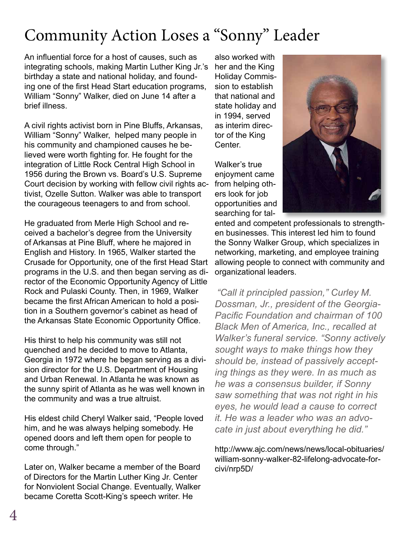## Community Action Loses a "Sonny" Leader

An influential force for a host of causes, such as integrating schools, making Martin Luther King Jr.'s birthday a state and national holiday, and founding one of the first Head Start education programs, William "Sonny" Walker, died on June 14 after a brief illness.

A civil rights activist born in Pine Bluffs, Arkansas, William "Sonny" Walker, helped many people in his community and championed causes he believed were worth fighting for. He fought for the integration of Little Rock Central High School in 1956 during the Brown vs. Board's U.S. Supreme Court decision by working with fellow civil rights activist, Ozelle Sutton. Walker was able to transport the courageous teenagers to and from school.

He graduated from Merle High School and received a bachelor's degree from the University of Arkansas at Pine Bluff, where he majored in English and History. In 1965, Walker started the Crusade for Opportunity, one of the first Head Start programs in the U.S. and then began serving as director of the Economic Opportunity Agency of Little Rock and Pulaski County. Then, in 1969, Walker became the first African American to hold a position in a Southern governor's cabinet as head of the Arkansas State Economic Opportunity Office.

His thirst to help his community was still not quenched and he decided to move to Atlanta, Georgia in 1972 where he began serving as a division director for the U.S. Department of Housing and Urban Renewal. In Atlanta he was known as the sunny spirit of Atlanta as he was well known in the community and was a true altruist.

His eldest child Cheryl Walker said, "People loved him, and he was always helping somebody. He opened doors and left them open for people to come through."

Later on, Walker became a member of the Board of Directors for the Martin Luther King Jr. Center for Nonviolent Social Change. Eventually, Walker became Coretta Scott-King's speech writer. He

also worked with her and the King Holiday Commission to establish that national and state holiday and in 1994, served as interim director of the King Center.

Walker's true enjoyment came from helping others look for job opportunities and searching for tal-



ented and competent professionals to strengthen businesses. This interest led him to found the Sonny Walker Group, which specializes in networking, marketing, and employee training allowing people to connect with community and organizational leaders.

*"Call it principled passion," Curley M. Dossman, Jr., president of the Georgia-Pacific Foundation and chairman of 100 Black Men of America, Inc., recalled at Walker's funeral service. "Sonny actively sought ways to make things how they should be, instead of passively accepting things as they were. In as much as he was a consensus builder, if Sonny saw something that was not right in his eyes, he would lead a cause to correct it. He was a leader who was an advocate in just about everything he did."*

http://www.ajc.com/news/news/local-obituaries/ william-sonny-walker-82-lifelong-advocate-forcivi/nrp5D/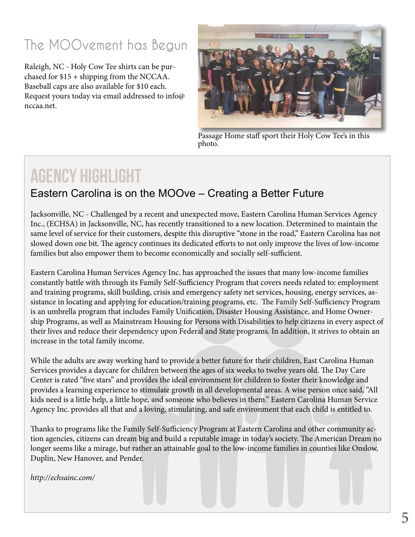## **The MOOvement has Begun**

Raleigh, NC - Holy Cow Tee shirts can be purchased for \$15 + shipping from the NCCAA. Baseball caps are also available for \$10 each. Request yours today via email addressed to info@ nccaa.net.



Passage Home staff sport their Holy Cow Tee's in this photo.

## AGENCY HIGHLIGHT

#### Eastern Carolina is on the MOOve – Creating a Better Future

Jacksonville, NC - Challenged by a recent and unexpected move, Eastern Carolina Human Services Agency Inc., (ECHSA) in Jacksonville, NC, has recently transitioned to a new location. Determined to maintain the same level of service for their customers, despite this disruptive "stone in the road," Eastern Carolina has not slowed down one bit. The agency continues its dedicated efforts to not only improve the lives of low-income families but also empower them to become economically and socially self-sufficient.

Eastern Carolina Human Services Agency Inc. has approached the issues that many low-income families constantly battle with through its Family Self-Sufficiency Program that covers needs related to: employment and training programs, skill building, crisis and emergency safety net services, housing, energy services, assistance in locating and applying for education/training programs, etc. The Family Self-Sufficiency Program is an umbrella program that includes Family Unification, Disaster Housing Assistance, and Home Ownership Programs, as well as Mainstream Housing for Persons with Disabilities to help citizens in every aspect of their lives and reduce their dependency upon Federal and State programs. In addition, it strives to obtain an increase in the total family income.

While the adults are away working hard to provide a better future for their children, East Carolina Human Services provides a daycare for children between the ages of six weeks to twelve years old. The Day Care Center is rated "five stars" and provides the ideal environment for children to foster their knowledge and provides a learning experience to stimulate growth in all developmental areas. A wise person once said, "All kids need is a little help, a little hope, and someone who believes in them." Eastern Carolina Human Service Agency Inc. provides all that and a loving, stimulating, and safe environment that each child is entitled to.

Thanks to programs like the Family Self-Sufficiency Program at Eastern Carolina and other community action agencies, citizens can dream big and build a reputable image in today's society. The American Dream no longer seems like a mirage, but rather an attainable goal to the low-income families in counties like Onslow, Duplin, New Hanover, and Pender.

*http://echsainc.com/*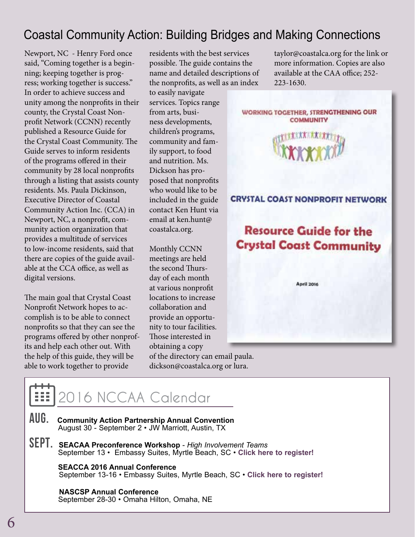## Coastal Community Action: Building Bridges and Making Connections

Newport, NC - Henry Ford once said, "Coming together is a beginning; keeping together is progress; working together is success." In order to achieve success and unity among the nonprofits in their county, the Crystal Coast Nonprofit Network (CCNN) recently published a Resource Guide for the Crystal Coast Community. The Guide serves to inform residents of the programs offered in their community by 28 local nonprofits through a listing that assists county residents. Ms. Paula Dickinson, Executive Director of Coastal Community Action Inc. (CCA) in Newport, NC, a nonprofit, community action organization that provides a multitude of services to low-income residents, said that there are copies of the guide available at the CCA office, as well as digital versions.

The main goal that Crystal Coast Nonprofit Network hopes to accomplish is to be able to connect nonprofits so that they can see the programs offered by other nonprofits and help each other out. With the help of this guide, they will be able to work together to provide

residents with the best services possible. The guide contains the name and detailed descriptions of the nonprofits, as well as an index

to easily navigate services. Topics range from arts, business developments, children's programs, community and family support, to food and nutrition. Ms. Dickson has proposed that nonprofits who would like to be included in the guide contact Ken Hunt via email at ken.hunt@ coastalca.org.

Monthly CCNN meetings are held the second Thursday of each month at various nonprofit locations to increase collaboration and provide an opportunity to tour facilities. Those interested in obtaining a copy of the directory can email paula. dickson@coastalca.org or lura.

taylor@coastalca.org for the link or more information. Copies are also available at the CAA office; 252- 223-1630.



## **2016 NCCAA Calendar**

- AUG. **Community Action Partnership Annual Convention** August 30 - September 2 • JW Marriott, Austin, TX
- Sept. **SEACAA Preconference Workshop**  *High Involvement Teams*September 13 Embassy Suites, Myrtle Beach, SC **[Click here to register!](http://nccaa.starchapter.com/meetinginfo.php?id=15 )**

 **SEACCA 2016 Annual Conference** September 13-16 • Embassy Suites, Myrtle Beach, SC • **[Click here to register!](http://www.seacaa-us.org/#!2016-annual-conference/u70dc)**

 **NASCSP Annual Conference** September 28-30 • Omaha Hilton, Omaha, NE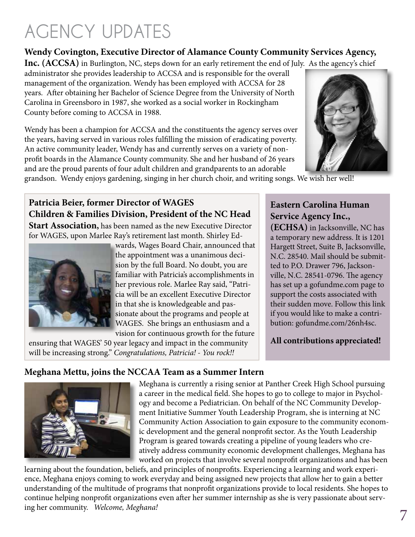# **AGENCY UPDATES**

County before coming to ACCSA in 1988.

#### **Wendy Covington, Executive Director of Alamance County Community Services Agency,**

**Inc. (ACCSA)** in Burlington, NC, steps down for an early retirement the end of July. As the agency's chief administrator she provides leadership to ACCSA and is responsible for the overall management of the organization. Wendy has been employed with ACCSA for 28 years. After obtaining her Bachelor of Science Degree from the University of North Carolina in Greensboro in 1987, she worked as a social worker in Rockingham

Wendy has been a champion for ACCSA and the constituents the agency serves over the years, having served in various roles fulfilling the mission of eradicating poverty. An active community leader, Wendy has and currently serves on a variety of nonprofit boards in the Alamance County community. She and her husband of 26 years and are the proud parents of four adult children and grandparents to an adorable



grandson. Wendy enjoys gardening, singing in her church choir, and writing songs. We wish her well!

#### **Patricia Beier, former Director of WAGES Children & Families Division, President of the NC Head**

**Start Association,** has been named as the new Executive Director for WAGES, upon Marlee Ray's retirement last month. Shirley Ed-



wards, Wages Board Chair, announced that the appointment was a unanimous decision by the full Board. No doubt, you are familiar with Patricia's accomplishments in her previous role. Marlee Ray said, "Patricia will be an excellent Executive Director in that she is knowledgeable and passionate about the programs and people at WAGES. She brings an enthusiasm and a vision for continuous growth for the future

ensuring that WAGES' 50 year legacy and impact in the community will be increasing strong." *Congratulations, Patricia! - You rock!!*

#### **Eastern Carolina Human Service Agency Inc.,**

**(ECHSA)** in Jacksonville, NC has a temporary new address. It is 1201 Hargett Street, Suite B, Jacksonville, N.C. 28540. Mail should be submitted to P.O. Drawer 796, Jacksonville, N.C. 28541-0796. The agency has set up a gofundme.com page to support the costs associated with their sudden move. Follow this link if you would like to make a contribution: gofundme.com/26nh4sc.

#### **All contributions appreciated!**

#### **Meghana Mettu, joins the NCCAA Team as a Summer Intern**



Meghana is currently a rising senior at Panther Creek High School pursuing a career in the medical field. She hopes to go to college to major in Psychology and become a Pediatrician. On behalf of the NC Community Development Initiative Summer Youth Leadership Program, she is interning at NC Community Action Association to gain exposure to the community economic development and the general nonprofit sector. As the Youth Leadership Program is geared towards creating a pipeline of young leaders who creatively address community economic development challenges, Meghana has worked on projects that involve several nonprofit organizations and has been

learning about the foundation, beliefs, and principles of nonprofits. Experiencing a learning and work experience, Meghana enjoys coming to work everyday and being assigned new projects that allow her to gain a better understanding of the multitude of programs that nonprofit organizations provide to local residents. She hopes to continue helping nonprofit organizations even after her summer internship as she is very passionate about serving her community. *Welcome, Meghana!*